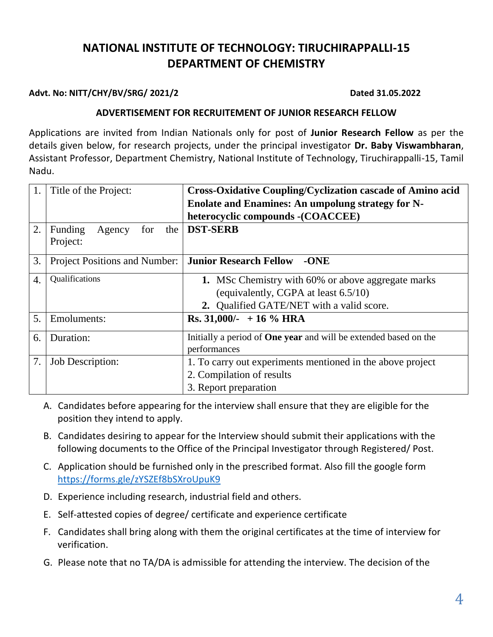# **NATIONAL INSTITUTE OF TECHNOLOGY: TIRUCHIRAPPALLI-15 DEPARTMENT OF CHEMISTRY**

### **Advt. No: NITT/CHY/BV/SRG/ 2021/2 Dated 31.05.2022**

#### **ADVERTISEMENT FOR RECRUITEMENT OF JUNIOR RESEARCH FELLOW**

Applications are invited from Indian Nationals only for post of **Junior Research Fellow** as per the details given below, for research projects, under the principal investigator **Dr. Baby Viswambharan**, Assistant Professor, Department Chemistry, National Institute of Technology, Tiruchirappalli-15, Tamil Nadu.

| 1. | Title of the Project:                | <b>Cross-Oxidative Coupling/Cyclization cascade of Amino acid</b>       |  |  |
|----|--------------------------------------|-------------------------------------------------------------------------|--|--|
|    |                                      | <b>Enolate and Enamines: An umpolung strategy for N-</b>                |  |  |
|    |                                      | heterocyclic compounds - (COACCEE)                                      |  |  |
| 2. | Funding<br>Agency<br>the<br>for      | <b>DST-SERB</b>                                                         |  |  |
|    | Project:                             |                                                                         |  |  |
| 3. | <b>Project Positions and Number:</b> | <b>Junior Research Fellow</b><br>$-ONE$                                 |  |  |
| 4. | Qualifications                       | <b>1.</b> MSc Chemistry with 60% or above aggregate marks               |  |  |
|    |                                      | (equivalently, CGPA at least 6.5/10)                                    |  |  |
|    |                                      | 2. Qualified GATE/NET with a valid score.                               |  |  |
| 5. | Emoluments:                          | Rs. $31,000/- + 16\%$ HRA                                               |  |  |
| 6. | Duration:                            | Initially a period of <b>One year</b> and will be extended based on the |  |  |
|    |                                      | performances                                                            |  |  |
| 7. | Job Description:                     | 1. To carry out experiments mentioned in the above project              |  |  |
|    |                                      | 2. Compilation of results                                               |  |  |
|    |                                      | 3. Report preparation                                                   |  |  |

- A. Candidates before appearing for the interview shall ensure that they are eligible for the position they intend to apply.
- B. Candidates desiring to appear for the Interview should submit their applications with the following documents to the Office of the Principal Investigator through Registered/ Post.
- C. Application should be furnished only in the prescribed format. Also fill the google form <https://forms.gle/zYSZEf8bSXroUpuK9>
- D. Experience including research, industrial field and others.
- E. Self-attested copies of degree/ certificate and experience certificate
- F. Candidates shall bring along with them the original certificates at the time of interview for verification.
- G. Please note that no TA/DA is admissible for attending the interview. The decision of the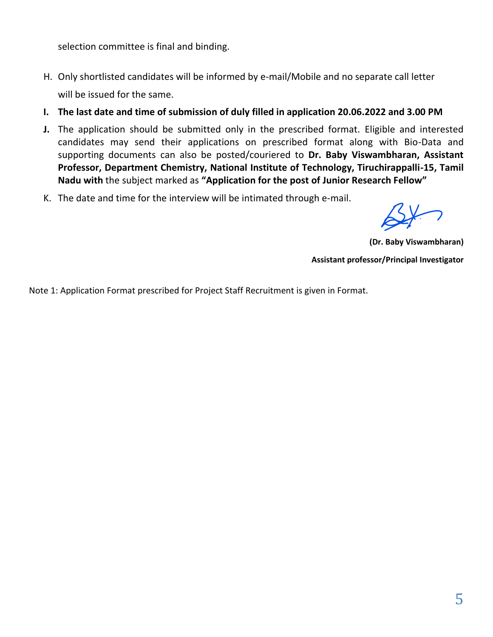selection committee is final and binding.

- H. Only shortlisted candidates will be informed by e-mail/Mobile and no separate call letter will be issued for the same.
- **I. The last date and time of submission of duly filled in application 20.06.2022 and 3.00 PM**
- **J.** The application should be submitted only in the prescribed format. Eligible and interested candidates may send their applications on prescribed format along with Bio-Data and supporting documents can also be posted/couriered to **Dr. Baby Viswambharan, Assistant Professor, Department Chemistry, National Institute of Technology, Tiruchirappalli-15, Tamil Nadu with** the subject marked as **"Application for the post of Junior Research Fellow"**
- K. The date and time for the interview will be intimated through e-mail.

**(Dr. Baby Viswambharan) Assistant professor/Principal Investigator**

Note 1: Application Format prescribed for Project Staff Recruitment is given in Format.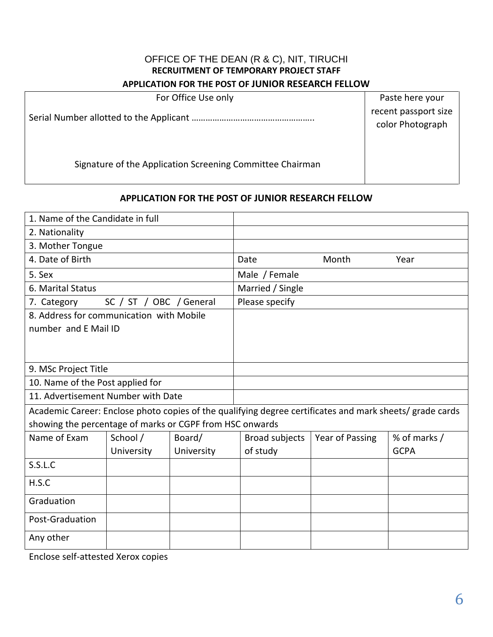## OFFICE OF THE DEAN (R & C), NIT, TIRUCHI **RECRUITMENT OF TEMPORARY PROJECT STAFF**

#### **APPLICATION FOR THE POST OF JUNIOR RESEARCH FELLOW**

| For Office Use only                                       | Paste here your                          |
|-----------------------------------------------------------|------------------------------------------|
|                                                           | recent passport size<br>color Photograph |
| Signature of the Application Screening Committee Chairman |                                          |

## **APPLICATION FOR THE POST OF JUNIOR RESEARCH FELLOW**

| 1. Name of the Candidate in full                         |                         |            |                       |                                                                                                          |              |  |
|----------------------------------------------------------|-------------------------|------------|-----------------------|----------------------------------------------------------------------------------------------------------|--------------|--|
| 2. Nationality                                           |                         |            |                       |                                                                                                          |              |  |
| 3. Mother Tongue                                         |                         |            |                       |                                                                                                          |              |  |
| 4. Date of Birth                                         |                         |            | Date                  | Month                                                                                                    | Year         |  |
| 5. Sex                                                   |                         |            | Male / Female         |                                                                                                          |              |  |
| 6. Marital Status                                        |                         |            | Married / Single      |                                                                                                          |              |  |
| 7. Category                                              | SC / ST / OBC / General |            | Please specify        |                                                                                                          |              |  |
| 8. Address for communication with Mobile                 |                         |            |                       |                                                                                                          |              |  |
| number and E Mail ID                                     |                         |            |                       |                                                                                                          |              |  |
|                                                          |                         |            |                       |                                                                                                          |              |  |
|                                                          |                         |            |                       |                                                                                                          |              |  |
| 9. MSc Project Title                                     |                         |            |                       |                                                                                                          |              |  |
| 10. Name of the Post applied for                         |                         |            |                       |                                                                                                          |              |  |
| 11. Advertisement Number with Date                       |                         |            |                       |                                                                                                          |              |  |
|                                                          |                         |            |                       | Academic Career: Enclose photo copies of the qualifying degree certificates and mark sheets/ grade cards |              |  |
| showing the percentage of marks or CGPF from HSC onwards |                         |            |                       |                                                                                                          |              |  |
| Name of Exam                                             | School /                | Board/     | <b>Broad subjects</b> | Year of Passing                                                                                          | % of marks / |  |
|                                                          | University              | University | of study              |                                                                                                          | <b>GCPA</b>  |  |
| S.S.L.C                                                  |                         |            |                       |                                                                                                          |              |  |
| H.S.C                                                    |                         |            |                       |                                                                                                          |              |  |
| Graduation                                               |                         |            |                       |                                                                                                          |              |  |
| Post-Graduation                                          |                         |            |                       |                                                                                                          |              |  |
| Any other                                                |                         |            |                       |                                                                                                          |              |  |

Enclose self-attested Xerox copies